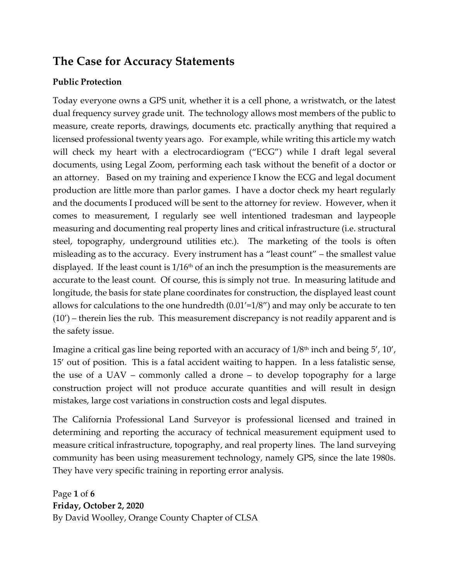# **The Case for Accuracy Statements**

#### **Public Protection**

Today everyone owns a GPS unit, whether it is a cell phone, a wristwatch, or the latest dual frequency survey grade unit. The technology allows most members of the public to measure, create reports, drawings, documents etc. practically anything that required a licensed professional twenty years ago. For example, while writing this article my watch will check my heart with a electrocardiogram ("ECG") while I draft legal several documents, using Legal Zoom, performing each task without the benefit of a doctor or an attorney. Based on my training and experience I know the ECG and legal document production are little more than parlor games. I have a doctor check my heart regularly and the documents I produced will be sent to the attorney for review. However, when it comes to measurement, I regularly see well intentioned tradesman and laypeople measuring and documenting real property lines and critical infrastructure (i.e. structural steel, topography, underground utilities etc.). The marketing of the tools is often misleading as to the accuracy. Every instrument has a "least count" – the smallest value displayed. If the least count is  $1/16<sup>th</sup>$  of an inch the presumption is the measurements are accurate to the least count. Of course, this is simply not true. In measuring latitude and longitude, the basis for state plane coordinates for construction, the displayed least count allows for calculations to the one hundredth  $(0.01' = 1/8'')$  and may only be accurate to ten (10') – therein lies the rub. This measurement discrepancy is not readily apparent and is the safety issue.

Imagine a critical gas line being reported with an accuracy of  $1/8<sup>th</sup>$  inch and being 5', 10', 15' out of position. This is a fatal accident waiting to happen. In a less fatalistic sense, the use of a UAV – commonly called a drone – to develop topography for a large construction project will not produce accurate quantities and will result in design mistakes, large cost variations in construction costs and legal disputes.

The California Professional Land Surveyor is professional licensed and trained in determining and reporting the accuracy of technical measurement equipment used to measure critical infrastructure, topography, and real property lines. The land surveying community has been using measurement technology, namely GPS, since the late 1980s. They have very specific training in reporting error analysis.

Page **1** of **6 Friday, October 2, 2020** By David Woolley, Orange County Chapter of CLSA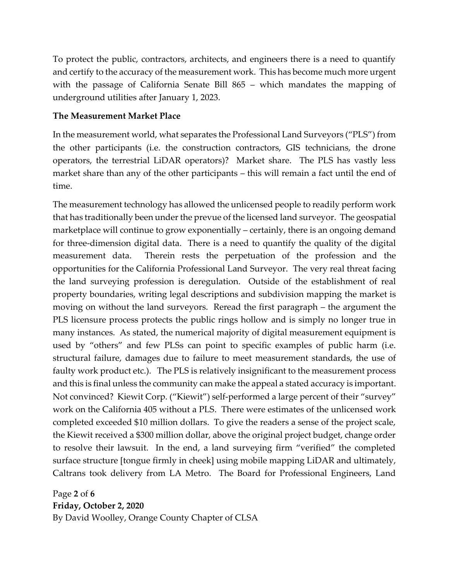To protect the public, contractors, architects, and engineers there is a need to quantify and certify to the accuracy of the measurement work. This has become much more urgent with the passage of California Senate Bill 865 – which mandates the mapping of underground utilities after January 1, 2023.

#### **The Measurement Market Place**

In the measurement world, what separates the Professional Land Surveyors ("PLS") from the other participants (i.e. the construction contractors, GIS technicians, the drone operators, the terrestrial LiDAR operators)? Market share. The PLS has vastly less market share than any of the other participants – this will remain a fact until the end of time.

The measurement technology has allowed the unlicensed people to readily perform work that has traditionally been under the prevue of the licensed land surveyor. The geospatial marketplace will continue to grow exponentially – certainly, there is an ongoing demand for three-dimension digital data. There is a need to quantify the quality of the digital measurement data. Therein rests the perpetuation of the profession and the opportunities for the California Professional Land Surveyor. The very real threat facing the land surveying profession is deregulation. Outside of the establishment of real property boundaries, writing legal descriptions and subdivision mapping the market is moving on without the land surveyors. Reread the first paragraph – the argument the PLS licensure process protects the public rings hollow and is simply no longer true in many instances. As stated, the numerical majority of digital measurement equipment is used by "others" and few PLSs can point to specific examples of public harm (i.e. structural failure, damages due to failure to meet measurement standards, the use of faulty work product etc.). The PLS is relatively insignificant to the measurement process and this is final unless the community can make the appeal a stated accuracy is important. Not convinced? Kiewit Corp. ("Kiewit") self-performed a large percent of their "survey" work on the California 405 without a PLS. There were estimates of the unlicensed work completed exceeded \$10 million dollars. To give the readers a sense of the project scale, the Kiewit received a \$300 million dollar, above the original project budget, change order to resolve their lawsuit. In the end, a land surveying firm "verified" the completed surface structure [tongue firmly in cheek] using mobile mapping LiDAR and ultimately, Caltrans took delivery from LA Metro. The Board for Professional Engineers, Land

Page **2** of **6 Friday, October 2, 2020** By David Woolley, Orange County Chapter of CLSA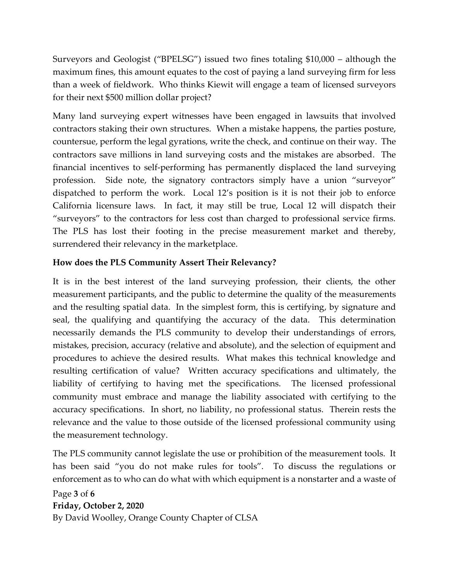Surveyors and Geologist ("BPELSG") issued two fines totaling \$10,000 – although the maximum fines, this amount equates to the cost of paying a land surveying firm for less than a week of fieldwork. Who thinks Kiewit will engage a team of licensed surveyors for their next \$500 million dollar project?

Many land surveying expert witnesses have been engaged in lawsuits that involved contractors staking their own structures. When a mistake happens, the parties posture, countersue, perform the legal gyrations, write the check, and continue on their way. The contractors save millions in land surveying costs and the mistakes are absorbed. The financial incentives to self-performing has permanently displaced the land surveying profession. Side note, the signatory contractors simply have a union "surveyor" dispatched to perform the work. Local 12's position is it is not their job to enforce California licensure laws. In fact, it may still be true, Local 12 will dispatch their "surveyors" to the contractors for less cost than charged to professional service firms. The PLS has lost their footing in the precise measurement market and thereby, surrendered their relevancy in the marketplace.

### **How does the PLS Community Assert Their Relevancy?**

It is in the best interest of the land surveying profession, their clients, the other measurement participants, and the public to determine the quality of the measurements and the resulting spatial data. In the simplest form, this is certifying, by signature and seal, the qualifying and quantifying the accuracy of the data. This determination necessarily demands the PLS community to develop their understandings of errors, mistakes, precision, accuracy (relative and absolute), and the selection of equipment and procedures to achieve the desired results. What makes this technical knowledge and resulting certification of value? Written accuracy specifications and ultimately, the liability of certifying to having met the specifications. The licensed professional community must embrace and manage the liability associated with certifying to the accuracy specifications. In short, no liability, no professional status. Therein rests the relevance and the value to those outside of the licensed professional community using the measurement technology.

The PLS community cannot legislate the use or prohibition of the measurement tools. It has been said "you do not make rules for tools". To discuss the regulations or enforcement as to who can do what with which equipment is a nonstarter and a waste of

Page **3** of **6 Friday, October 2, 2020** By David Woolley, Orange County Chapter of CLSA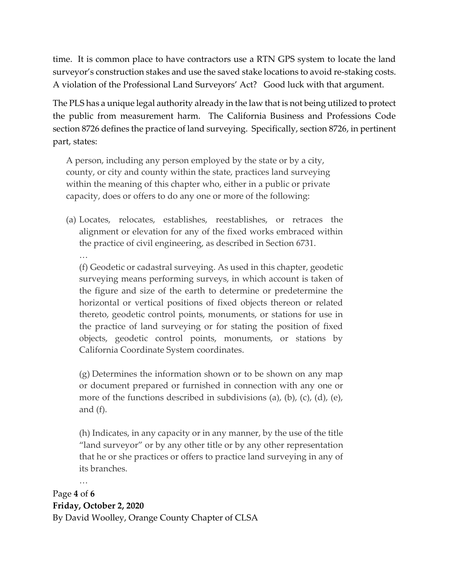time. It is common place to have contractors use a RTN GPS system to locate the land surveyor's construction stakes and use the saved stake locations to avoid re-staking costs. A violation of the Professional Land Surveyors' Act? Good luck with that argument.

The PLS has a unique legal authority already in the law that is not being utilized to protect the public from measurement harm. The California Business and Professions Code section 8726 defines the practice of land surveying. Specifically, section 8726, in pertinent part, states:

A person, including any person employed by the state or by a city, county, or city and county within the state, practices land surveying within the meaning of this chapter who, either in a public or private capacity, does or offers to do any one or more of the following:

(a) Locates, relocates, establishes, reestablishes, or retraces the alignment or elevation for any of the fixed works embraced within the practice of civil engineering, as described in Section 6731. …

(f) Geodetic or cadastral surveying. As used in this chapter, geodetic surveying means performing surveys, in which account is taken of the figure and size of the earth to determine or predetermine the horizontal or vertical positions of fixed objects thereon or related thereto, geodetic control points, monuments, or stations for use in the practice of land surveying or for stating the position of fixed objects, geodetic control points, monuments, or stations by California Coordinate System coordinates.

(g) Determines the information shown or to be shown on any map or document prepared or furnished in connection with any one or more of the functions described in subdivisions (a), (b), (c), (d), (e), and (f).

(h) Indicates, in any capacity or in any manner, by the use of the title "land surveyor" or by any other title or by any other representation that he or she practices or offers to practice land surveying in any of its branches.

Page **4** of **6 Friday, October 2, 2020** By David Woolley, Orange County Chapter of CLSA

…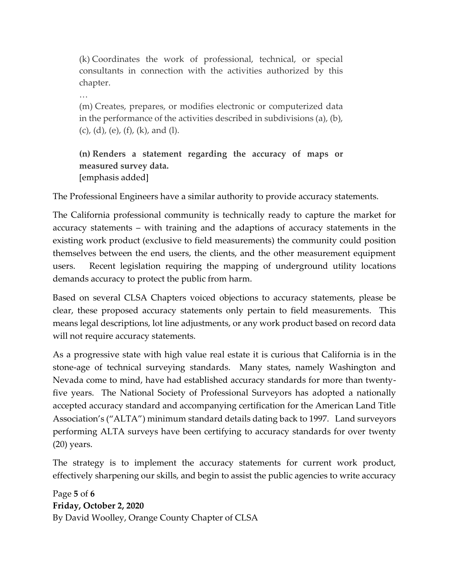(k) Coordinates the work of professional, technical, or special consultants in connection with the activities authorized by this chapter.

… (m) Creates, prepares, or modifies electronic or computerized data in the performance of the activities described in subdivisions (a), (b),  $(c)$ ,  $(d)$ ,  $(e)$ ,  $(f)$ ,  $(k)$ , and  $(l)$ .

**(n) Renders a statement regarding the accuracy of maps or measured survey data.** [emphasis added]

The Professional Engineers have a similar authority to provide accuracy statements.

The California professional community is technically ready to capture the market for accuracy statements – with training and the adaptions of accuracy statements in the existing work product (exclusive to field measurements) the community could position themselves between the end users, the clients, and the other measurement equipment users. Recent legislation requiring the mapping of underground utility locations demands accuracy to protect the public from harm.

Based on several CLSA Chapters voiced objections to accuracy statements, please be clear, these proposed accuracy statements only pertain to field measurements. This means legal descriptions, lot line adjustments, or any work product based on record data will not require accuracy statements.

As a progressive state with high value real estate it is curious that California is in the stone-age of technical surveying standards. Many states, namely Washington and Nevada come to mind, have had established accuracy standards for more than twentyfive years. The National Society of Professional Surveyors has adopted a nationally accepted accuracy standard and accompanying certification for the American Land Title Association's ("ALTA") minimum standard details dating back to 1997. Land surveyors performing ALTA surveys have been certifying to accuracy standards for over twenty (20) years.

The strategy is to implement the accuracy statements for current work product, effectively sharpening our skills, and begin to assist the public agencies to write accuracy

Page **5** of **6 Friday, October 2, 2020** By David Woolley, Orange County Chapter of CLSA